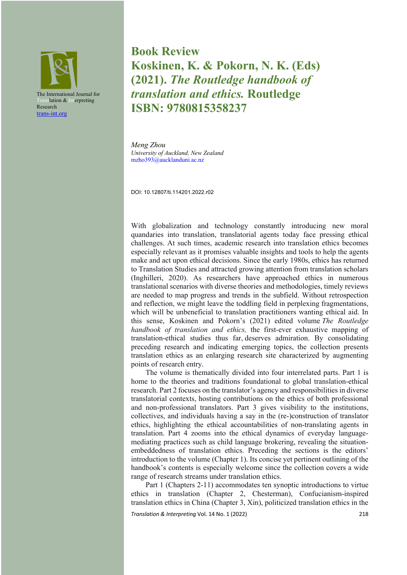

**Book Review Koskinen, K. & Pokorn, N. K. (Eds) (2021).** *The Routledge handbook of translation and ethics.* **Routledge ISBN: 9780815358237**

*Meng Zhou University of Auckland, New Zealand* mzho393@aucklanduni.ac.nz

DOI: 10.12807/ti.114201.2022.r02

With globalization and technology constantly introducing new moral quandaries into translation, translatorial agents today face pressing ethical challenges. At such times, academic research into translation ethics becomes especially relevant as it promises valuable insights and tools to help the agents make and act upon ethical decisions. Since the early 1980s, ethics has returned to Translation Studies and attracted growing attention from translation scholars (Inghilleri, 2020). As researchers have approached ethics in numerous translational scenarios with diverse theories and methodologies, timely reviews are needed to map progress and trends in the subfield. Without retrospection and reflection, we might leave the toddling field in perplexing fragmentations, which will be unbeneficial to translation practitioners wanting ethical aid. In this sense, Koskinen and Pokorn's (2021) edited volume *The Routledge handbook of translation and ethics,* the first-ever exhaustive mapping of translation-ethical studies thus far, deserves admiration. By consolidating preceding research and indicating emerging topics, the collection presents translation ethics as an enlarging research site characterized by augmenting points of research entry.

The volume is thematically divided into four interrelated parts. Part 1 is home to the theories and traditions foundational to global translation-ethical research. Part 2 focuses on the translator's agency and responsibilities in diverse translatorial contexts, hosting contributions on the ethics of both professional and non-professional translators. Part 3 gives visibility to the institutions, collectives, and individuals having a say in the (re-)construction of translator ethics, highlighting the ethical accountabilities of non-translating agents in translation. Part 4 zooms into the ethical dynamics of everyday languagemediating practices such as child language brokering, revealing the situationembeddedness of translation ethics. Preceding the sections is the editors' introduction to the volume (Chapter 1). Its concise yet pertinent outlining of the handbook's contents is especially welcome since the collection covers a wide range of research streams under translation ethics.

Part 1 (Chapters 2-11) accommodates ten synoptic introductions to virtue ethics in translation (Chapter 2, Chesterman), Confucianism-inspired translation ethics in China (Chapter 3, Xin), politicized translation ethics in the

*Translation & Interpreting* Vol. 14 No. 1 (2022)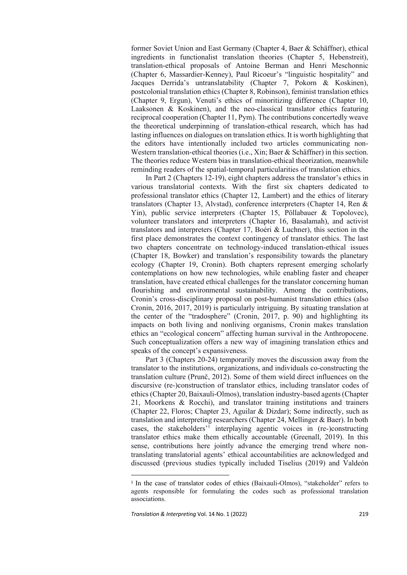former Soviet Union and East Germany (Chapter 4, Baer & Schäffner), ethical ingredients in functionalist translation theories (Chapter 5, Hebenstreit), translation-ethical proposals of Antoine Berman and Henri Meschonnic (Chapter 6, Massardier-Kenney), Paul Ricoeur's "linguistic hospitality" and Jacques Derrida's untranslatability (Chapter 7, Pokorn & Koskinen), postcolonial translation ethics (Chapter 8, Robinson), feminist translation ethics (Chapter 9, Ergun), Venuti's ethics of minoritizing difference (Chapter 10, Laaksonen & Koskinen), and the neo-classical translator ethics featuring reciprocal cooperation (Chapter 11, Pym). The contributions concertedly weave the theoretical underpinning of translation-ethical research, which has had lasting influences on dialogues on translation ethics. It is worth highlighting that the editors have intentionally included two articles communicating non-Western translation-ethical theories (i.e., Xin; Baer & Schäffner) in this section. The theories reduce Western bias in translation-ethical theorization, meanwhile reminding readers of the spatial-temporal particularities of translation ethics.

In Part 2 (Chapters 12-19), eight chapters address the translator's ethics in various translatorial contexts. With the first six chapters dedicated to professional translator ethics (Chapter 12, Lambert) and the ethics of literary translators (Chapter 13, Alvstad), conference interpreters (Chapter 14, Ren & Yin), public service interpreters (Chapter 15, Pöllabauer & Topolovec), volunteer translators and interpreters (Chapter 16, Basalamah), and activist translators and interpreters (Chapter 17, Boéri & Luchner), this section in the first place demonstrates the context contingency of translator ethics. The last two chapters concentrate on technology-induced translation-ethical issues (Chapter 18, Bowker) and translation's responsibility towards the planetary ecology (Chapter 19, Cronin). Both chapters represent emerging scholarly contemplations on how new technologies, while enabling faster and cheaper translation, have created ethical challenges for the translator concerning human flourishing and environmental sustainability. Among the contributions, Cronin's cross-disciplinary proposal on post-humanist translation ethics (also Cronin, 2016, 2017, 2019) is particularly intriguing. By situating translation at the center of the "tradosphere" (Cronin, 2017, p. 90) and highlighting its impacts on both living and nonliving organisms, Cronin makes translation ethics an "ecological concern" affecting human survival in the Anthropocene. Such conceptualization offers a new way of imagining translation ethics and speaks of the concept's expansiveness.

Part 3 (Chapters 20-24) temporarily moves the discussion away from the translator to the institutions, organizations, and individuals co-constructing the translation culture (Prunč, 2012). Some of them wield direct influences on the discursive (re-)construction of translator ethics, including translator codes of ethics (Chapter 20, Baixauli-Olmos), translation industry-based agents (Chapter 21, Moorkens & Rocchi), and translator training institutions and trainers (Chapter 22, Floros; Chapter 23, Aguilar & Dizdar); Some indirectly, such as translation and interpreting researchers (Chapter 24, Mellinger & Baer). In both cases, the stakeholders'<sup>1</sup> interplaying agentic voices in (re-)constructing translator ethics make them ethically accountable (Greenall, 2019). In this sense, contributions here jointly advance the emerging trend where nontranslating translatorial agents' ethical accountabilities are acknowledged and discussed (previous studies typically included Tiselius (2019) and Valdeón

<sup>1</sup> In the case of translator codes of ethics (Baixauli-Olmos), "stakeholder" refers to agents responsible for formulating the codes such as professional translation associations.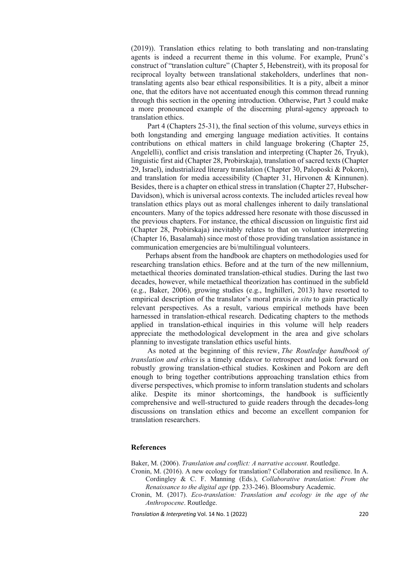(2019)). Translation ethics relating to both translating and non-translating agents is indeed a recurrent theme in this volume. For example, Prunč's construct of "translation culture" (Chapter 5, Hebenstreit), with its proposal for reciprocal loyalty between translational stakeholders, underlines that nontranslating agents also bear ethical responsibilities. It is a pity, albeit a minor one, that the editors have not accentuated enough this common thread running through this section in the opening introduction. Otherwise, Part 3 could make a more pronounced example of the discerning plural-agency approach to translation ethics.

Part 4 (Chapters 25-31), the final section of this volume, surveys ethics in both longstanding and emerging language mediation activities. It contains contributions on ethical matters in child language brokering (Chapter 25, Angelelli), conflict and crisis translation and interpreting (Chapter 26, Tryuk), linguistic first aid (Chapter 28, Probirskaja), translation of sacred texts (Chapter 29, Israel), industrialized literary translation (Chapter 30, Paloposki & Pokorn), and translation for media accessibility (Chapter 31, Hirvonen & Kinnunen). Besides, there is a chapter on ethical stress in translation (Chapter 27, Hubscher-Davidson), which is universal across contexts. The included articles reveal how translation ethics plays out as moral challenges inherent to daily translational encounters. Many of the topics addressed here resonate with those discussed in the previous chapters. For instance, the ethical discussion on linguistic first aid (Chapter 28, Probirskaja) inevitably relates to that on volunteer interpreting (Chapter 16, Basalamah) since most of those providing translation assistance in communication emergencies are bi/multilingual volunteers.

Perhaps absent from the handbook are chapters on methodologies used for researching translation ethics. Before and at the turn of the new millennium, metaethical theories dominated translation-ethical studies. During the last two decades, however, while metaethical theorization has continued in the subfield (e.g., Baker, 2006), growing studies (e.g., Inghilleri, 2013) have resorted to empirical description of the translator's moral praxis *in situ* to gain practically relevant perspectives. As a result, various empirical methods have been harnessed in translation-ethical research. Dedicating chapters to the methods applied in translation-ethical inquiries in this volume will help readers appreciate the methodological development in the area and give scholars planning to investigate translation ethics useful hints.

As noted at the beginning of this review, *The Routledge handbook of translation and ethics* is a timely endeavor to retrospect and look forward on robustly growing translation-ethical studies. Koskinen and Pokorn are deft enough to bring together contributions approaching translation ethics from diverse perspectives, which promise to inform translation students and scholars alike. Despite its minor shortcomings, the handbook is sufficiently comprehensive and well-structured to guide readers through the decades-long discussions on translation ethics and become an excellent companion for translation researchers.

## **References**

Baker, M. (2006). *Translation and conflict: A narrative account*. Routledge.

- Cronin, M. (2016). A new ecology for translation? Collaboration and resilience. In A. Cordingley & C. F. Manning (Eds.), *Collaborative translation: From the Renaissance to the digital age* (pp. 233-246). Bloomsbury Academic.
- Cronin, M. (2017). *Eco-translation: Translation and ecology in the age of the Anthropocene*. Routledge.

*Translation & Interpreting* Vol. 14 No. 1 (2022)